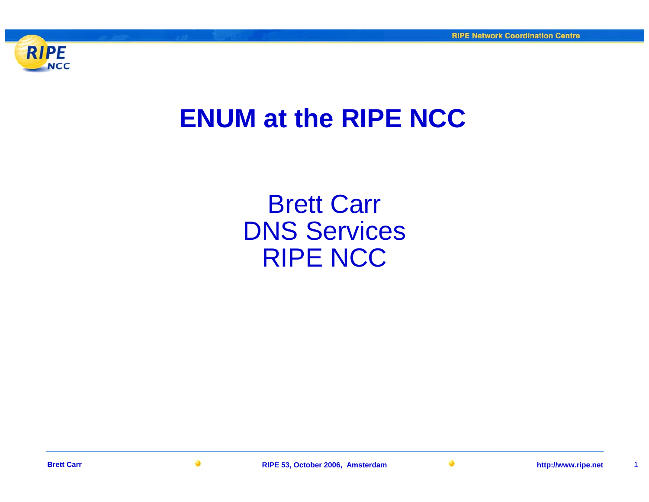

## **ENUM at the RIPE NCC**

Brett Carr DNS Services RIPE NCC

**Brett Carr**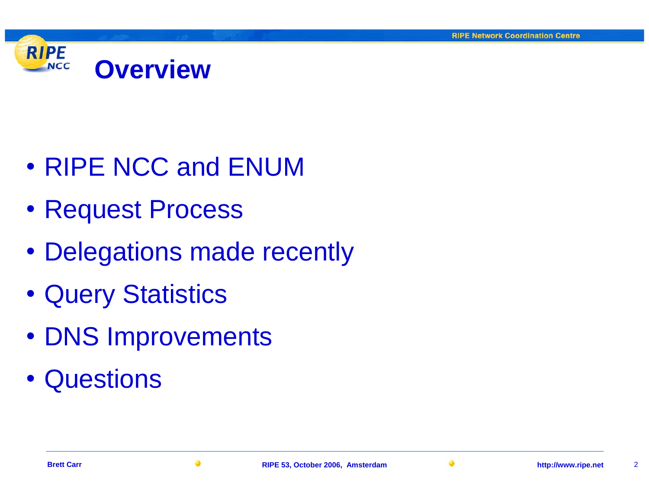

- RIPE NCC and ENUM
- Request Process
- Delegations made recently
- Query Statistics
- DNS Improvements
- Questions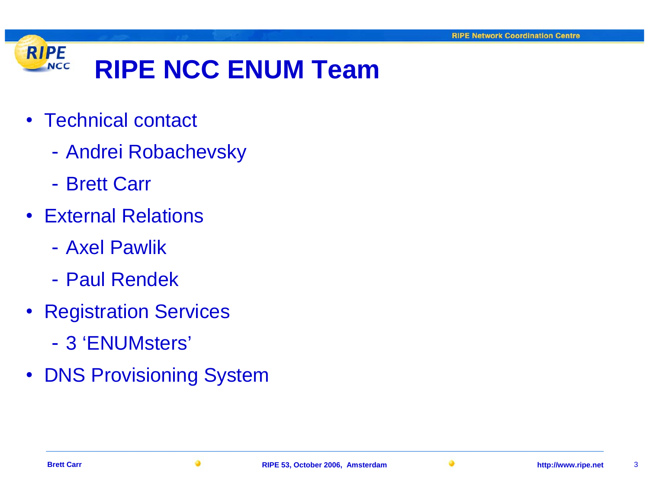

- Technical contact
	- $\mathcal{L}_{\mathcal{A}}$ Andrei Robachevsky
	- Brett Carr
- External Relations
	- Axel Pawlik
	- Paul Rendek
- Registration Services
	- 3 'ENUMsters'
- DNS Provisioning System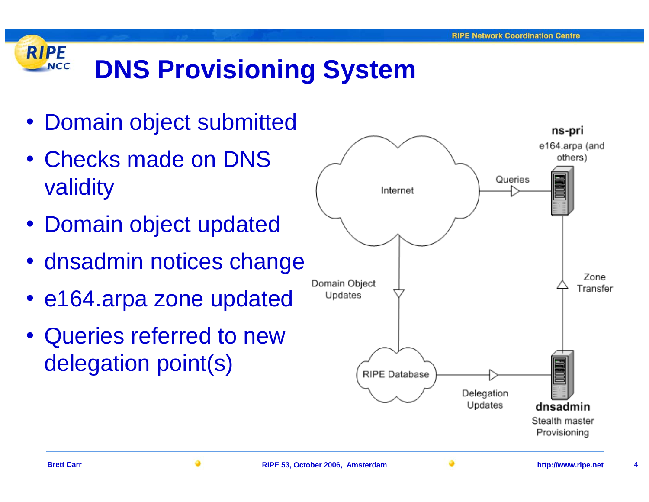## **RIPE DNS Provisioning System NCC**

- Domain object submitted
- Checks made on DNS validity
- Domain object updated
- dnsadmin notices change
- e164.arpa zone updated
- Queries referred to new delegation point(s)

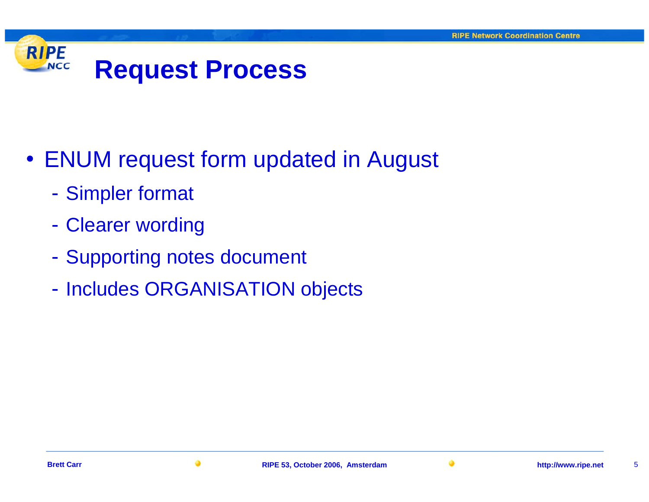

- ENUM request form updated in August
	- $\mathcal{L}_{\mathcal{A}}$ Simpler format
	- $\mathcal{L}_{\mathcal{A}}$ Clearer wording
	- $\mathcal{L}_{\mathcal{A}}$ - Supporting notes document
	- $\mathcal{L}_{\mathcal{A}}$ - Includes ORGANISATION objects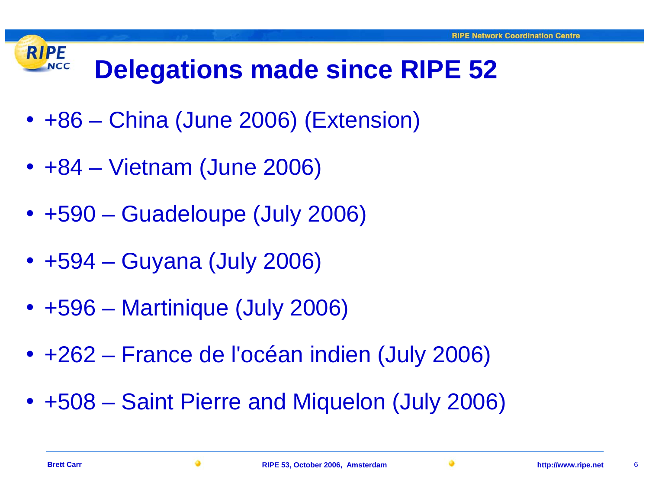### **RIPE Delegations made since RIPE 52 NCC**

- +86 China (June 2006) (Extension)
- +84 Vietnam (June 2006)
- +590 Guadeloupe (July 2006)
- +594 Guyana (July 2006)
- +596 Martinique (July 2006)
- +262 France de l'océan indien (July 2006)
- +508 Saint Pierre and Miquelon (July 2006)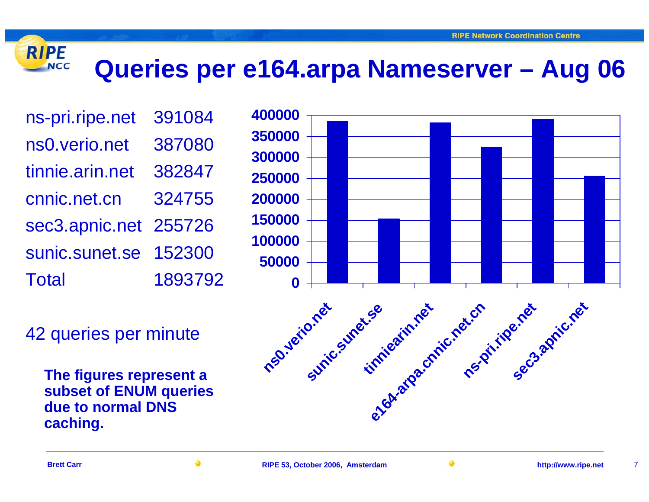# **Queries per e164.arpa Nameserver – Aug 06**

ns-pri.ripe.net 391084 ns0.verio.net 387080 tinnie.arin.net 382847cnnic.net.cn 324755sec3.apnic.net 255726 sunic.sunet.se 152300Total 1893792

42 queries per minute

**The figures represent a subset of ENUM queries due to normal DNS caching.** 



**RIPE** 

**NCC**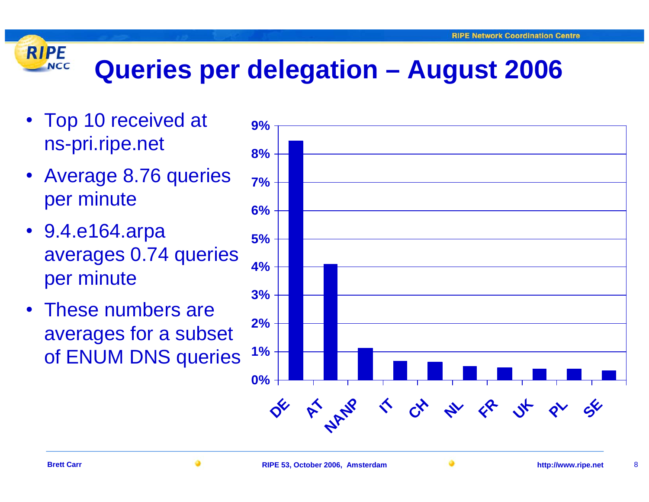# **Queries per delegation – August 2006**

• Top 10 received at ns-pri.ripe.net

**RIPE** 

**NCC** 

- Average 8.76 queries per minute
- 9.4.e164.arpa averages 0.74 queries per minute
- These numbers are averages for a subset of ENUM DNS queries

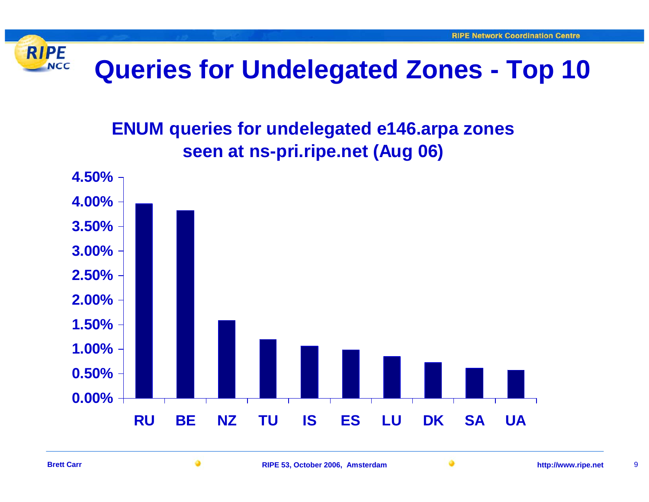

# **Queries for Undelegated Zones - Top 10**

## **ENUM queries for undelegated e146.arpa zones seen at ns-pri.ripe.net (Aug 06)**

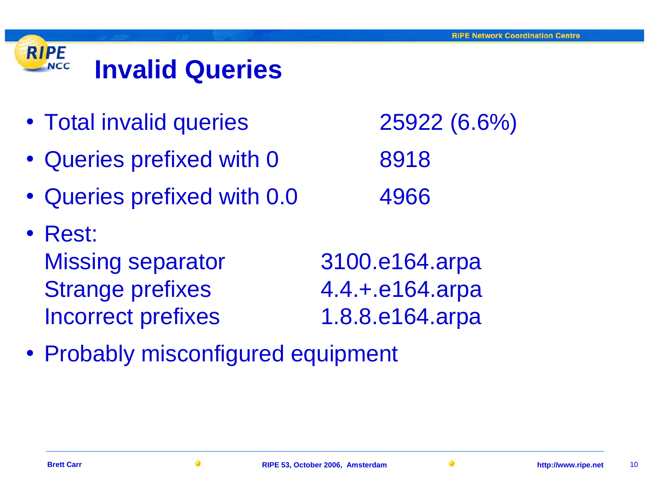

- Total invalid queries 25922 (6.6%)
- Queries prefixed with 0 8918
- Queries prefixed with 0.0 4966
- Rest: Missing separator 3100.e164.arpa Strange prefixes 4.4.+.e164.arpa Incorrect prefixes 1.8.8.e164.arpa
	-
- Probably misconfigured equipment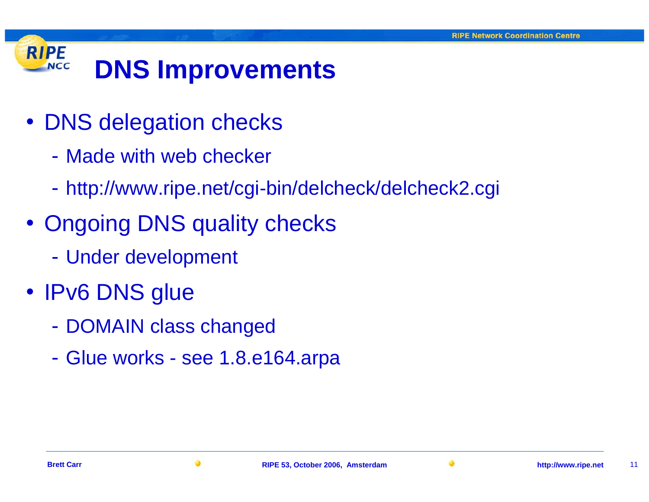## **RIPE DNS Improvements NCC**

- DNS delegation checks
	- Made with web checker
	- $\mathcal{L}_{\mathcal{A}}$ http://www.ripe.net/cgi-bin/delcheck/delcheck2.cgi
- Ongoing DNS quality checks
	- $\mathcal{L}_{\mathcal{A}}$ Under development
- IPv6 DNS glue
	- $\mathcal{L}_{\mathcal{A}}$ - DOMAIN class changed
	- $\mathcal{L}_{\mathcal{A}}$ Glue works - see 1.8.e164.arpa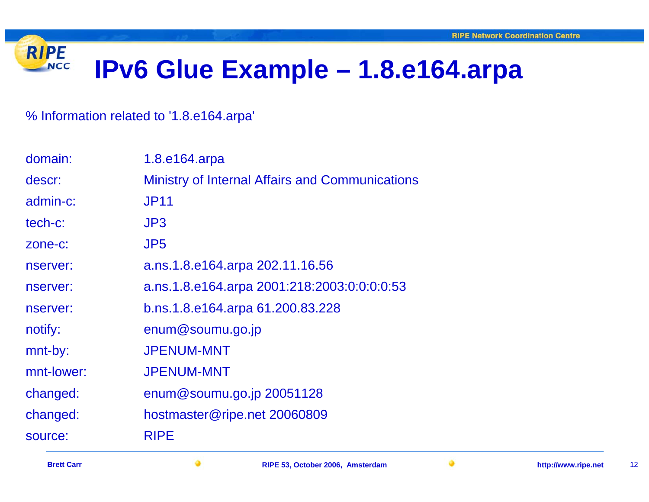#### **RIPE IPv6 Glue Example – 1.8.e164.arpa NCC**

## % Information related to '1.8.e164.arpa'

| domain:    | 1.8.e164.arpa                                          |
|------------|--------------------------------------------------------|
| descr:     | <b>Ministry of Internal Affairs and Communications</b> |
| admin-c:   | <b>JP11</b>                                            |
| tech-c:    | J <sub>P3</sub>                                        |
| zone-c:    | JP <sub>5</sub>                                        |
| nserver:   | a.ns.1.8.e164.arpa 202.11.16.56                        |
| nserver:   | a.ns.1.8.e164.arpa 2001:218:2003:0:0:0:0:53            |
| nserver:   | b.ns.1.8.e164.arpa 61.200.83.228                       |
| notify:    | enum@soumu.go.jp                                       |
| mnt-by:    | <b>JPENUM-MNT</b>                                      |
| mnt-lower: | <b>JPENUM-MNT</b>                                      |
| changed:   | enum@soumu.go.jp 20051128                              |
| changed:   | hostmaster@ripe.net 20060809                           |
| source:    | <b>RIPE</b>                                            |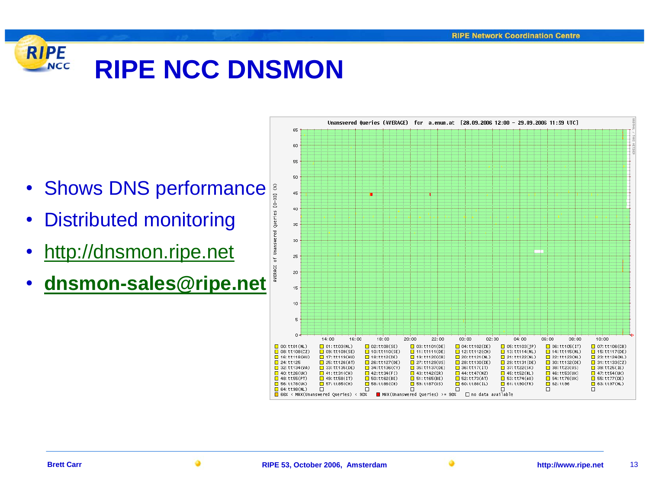## **RIPE RIPE NCC DNSMONNCC**

- Shows DNS performance
- •Distributed monitoring
- •[http://dnsmon.ripe.net](http://dnsmon.ripe.net/)
- •**[dnsmon-sales@ripe.net](mailto:dnsmon-sales@ripe.net)**